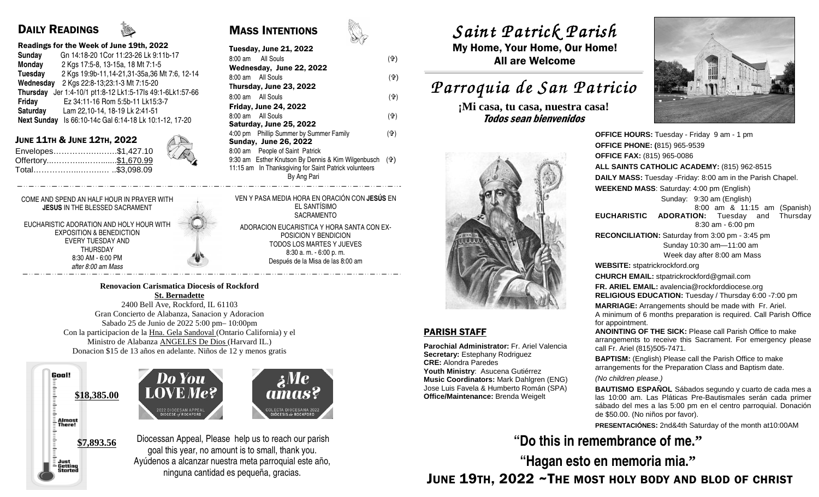## DAILY READINGS

### Readings for the Week of June 19th, 2022

| Sunday             | Gn 14:18-20 1Cor 11:23-26 Lk 9:11b-17            |
|--------------------|--------------------------------------------------|
| <b>Monday</b>      | 2 Kgs 17:5-8, 13-15a, 18 Mt 7:1-5                |
| <b>Tuesday</b>     | 2 Kgs 19:9b-11, 14-21, 31-35a, 36 Mt 7:6, 12-14  |
| Wednesday          | 2 Kgs 22:8-13;23:1-3 Mt 7:15-20                  |
| <b>Thursday</b>    | Jer 1:4-10/1 pt1:8-12 Lk1:5-17ls 49:1-6Lk1:57-66 |
| Friday             | Ez 34:11-16 Rom 5:5b-11 Lk15:3-7                 |
| Saturday           | Lam 22,10-14, 18-19 Lk 2:41-51                   |
| <b>Next Sunday</b> | Is 66:10-14c Gal 6:14-18 Lk 10:1-12, 17-20       |
|                    |                                                  |

### JUNE 11TH & JUNE 12TH, 2022

Envelopes…………….….….\$1,427.10 Offertory...………...…….......\$1,670.99Total……………...……..… ..\$3,098.09

### COME AND SPEND AN HALF HOUR IN PRAYER WITH **JESUS** IN THE BLESSED SACRAMENT

EUCHARISTIC ADORATION AND HOLY HOUR WITH EXPOSITION & BENEDICTION EVERY TUESDAY AND THURSDAY 8:30 AM - 6:00 PM after 8:00 am Mass

### **Renovacion Carismatica Diocesis of Rockford**

**St. Bernadette**  2400 Bell Ave, Rockford, IL 61103 Gran Concierto de Alabanza, Sanacion y Adoracion Sabado 25 de Junio de 2022 5:00 pm– 10:00pm Con la participacion de la Hna. Gela Sandoval (Ontario California) y el Ministro de Alabanza ANGELES De Dios (Harvard IL.) Donacion \$15 de 13 años en adelante. Niños de 12 y menos gratis

Goal! mund **\$18,385.00** $\bar{\Xi}$  Almost<br> $\bar{\Xi}$  There! **\$7,893.56**Just

**Getting** 





Diocessan Appeal, Please help us to reach our parish goal this year, no amount is to small, thank you. Ayúdenos a alcanzar nuestra meta parroquial este año, ninguna cantidad es pequeña, gracias.



| <b>Tuesday, June 21, 2022</b>                                   |     |
|-----------------------------------------------------------------|-----|
| All Souls<br>$8:00 \text{ am}$                                  | (유) |
| Wednesday, June 22, 2022                                        |     |
| 8:00 am All Souls                                               | (유) |
| Thursday, June 23, 2022                                         |     |
| 8:00 am All Souls                                               | (유) |
| <b>Friday, June 24, 2022</b>                                    |     |
| 8:00 am All Souls                                               | (유) |
| Saturday, June 25, 2022                                         |     |
| 4:00 pm Phillip Summer by Summer Family                         | (유) |
| <b>Sunday, June 26, 2022</b>                                    |     |
| 8:00 am People of Saint Patrick                                 |     |
| 9:30 am Esther Knutson By Dennis & Kim Wilgenbusch ( $\oplus$ ) |     |
| 11:15 am In Thanksgiving for Saint Patrick volunteers           |     |
| By Ang Pari                                                     |     |
|                                                                 |     |

VEN Y PASA MEDIA HORA EN ORACIÓN CON **JESÚS** EN EL SANTÍSIMO SACRAMENTO ADORACION EUCARISTICA Y HORA SANTA CON EX-

> POSICION Y BENDICION TODOS LOS MARTES Y JUEVES 8:30 a. m. - 6:00 p. m. Después de la Misa de las 8:00 am

# *Saint Patrick Parish Saint Parish*

 My Home, Your Home, Our Home! All are Welcome

## *Parroquia de San Patricio San Patricio*

**¡Mi casa, tu casa, nuestra casa!** Todos sean bienvenidos



**Parochial Administrator:** Fr. Ariel Valencia

**Secretary:** Estephany Rodriguez

 **Youth Ministry**: Asucena Gutiérrez **Music Coordinators:** Mark Dahlgren (ENG) Jose Luis Favela & Humberto Román (SPA) **Office/Maintenance:** Brenda Weigelt

PARISH STAFF

**CRE:** Alondra Paredes

**OFFICE HOURS:** Tuesday - Friday 9 am - 1 pm **OFFICE PHONE: (**815) 965-9539**OFFICE FAX:** (815) 965-0086 **ALL SAINTS CATHOLIC ACADEMY:** (815) 962-8515 **DAILY MASS:** Tuesday -Friday: 8:00 am in the Parish Chapel. **WEEKEND MASS**: Saturday: 4:00 pm (English) Sunday: 9:30 am (English) 8:00 am & 11:15 am (Spanish) **EUCHARISTIC ADORATION:** Tuesday and Thursday 8:30 am - 6:00 pm **RECONCILIATION:** Saturday from 3:00 pm - 3:45 pm Sunday 10:30 am—11:00 am Week day after 8:00 am Mass**WEBSITE:** stpatrickrockford.org **CHURCH EMAIL:** stpatrickrockford@gmail.com **FR. ARIEL EMAIL:** avalencia@rockforddiocese.org **RELIGIOUS EDUCATION:** Tuesday / Thursday 6:00 -7:00 pm**MARRIAGE:** Arrangements should be made with Fr. Ariel. A minimum of 6 months preparation is required. Call Parish Office for appointment. **ANOINTING OF THE SICK:** Please call Parish Office to make arrangements to receive this Sacrament. For emergency please call Fr. Ariel (815)505-7471.**BAPTISM:** (English) Please call the Parish Office to make arrangements for the Preparation Class and Baptism date.

(No children please.)

**BAUTISMO ESPAÑOL** Sábados segundo y cuarto de cada mes a las 10:00 am. Las Pláticas Pre-Bautismales serán cada primer sábado del mes a las 5:00 pm en el centro parroquial. Donación de \$50.00. (No niños por favor).

**PRESENTACIÓNES:** 2nd&4th Saturday of the month at10:00AM

**"Do this in remembrance of me."** 

**"Hagan esto en memoria mia."**

JUNE  $\bf 1$ 9th,  $\bf 2022\sim$ The most holy body and blod of christ